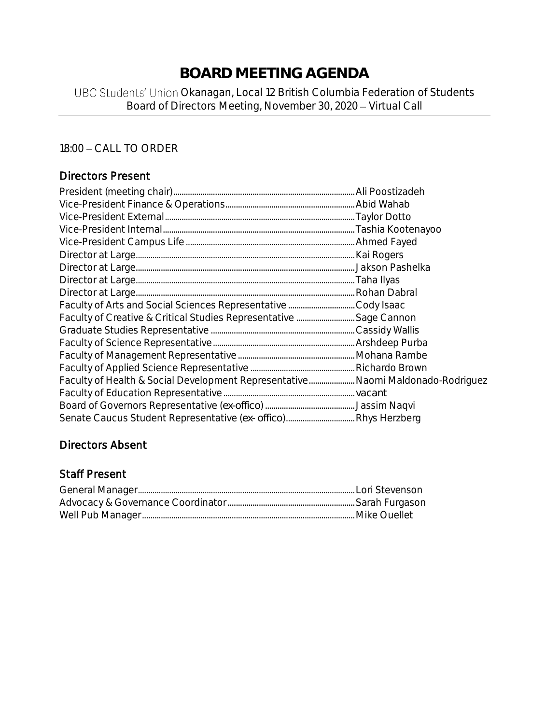## **BOARD MEETING AGENDA**

## UBC Students' Union Okanagan, Local 12 British Columbia Federation of Students Board of Directors Meeting, November 30, 2020 - Virtual Call

## 18:00 - CALL TO ORDER

## Directors Present

| Faculty of Health & Social Development Representative Naomi Maldonado-Rodriguez |  |
|---------------------------------------------------------------------------------|--|
|                                                                                 |  |
|                                                                                 |  |
|                                                                                 |  |

## Directors Absent

#### Staff Present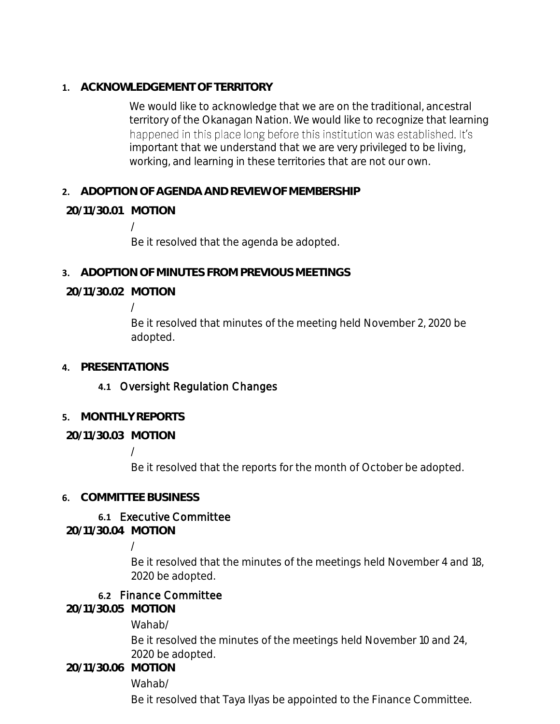**1. ACKNOWLEDGEMENT OF TERRITORY**

We would like to acknowledge that we are on the traditional, ancestral territory of the Okanagan Nation. We would like to recognize that learning happened in this place long before this institution was established. It's important that we understand that we are very privileged to be living, working, and learning in these territories that are not our own.

**2. ADOPTION OF AGENDA AND REVIEW OF MEMBERSHIP**

## **20/11/30.01 MOTION**

/

Be it resolved that the agenda be adopted.

**3. ADOPTION OF MINUTES FROM PREVIOUS MEETINGS**

**20/11/30.02 MOTION**

/

Be it resolved that minutes of the meeting held November 2, 2020 be adopted.

**4. PRESENTATIONS**

## **4.1** Oversight Regulation Changes

- **5. MONTHLY REPORTS**
- **20/11/30.03 MOTION**

/

Be it resolved that the reports for the month of October be adopted.

## **6. COMMITTEE BUSINESS**

## **6.1** Executive Committee

**20/11/30.04 MOTION**

/

Be it resolved that the minutes of the meetings held November 4 and 18, 2020 be adopted.

#### **6.2** Finance Committee

**20/11/30.05 MOTION**

Wahab/

Be it resolved the minutes of the meetings held November 10 and 24, 2020 be adopted.

**20/11/30.06 MOTION**

Wahab/

Be it resolved that Taya Ilyas be appointed to the Finance Committee.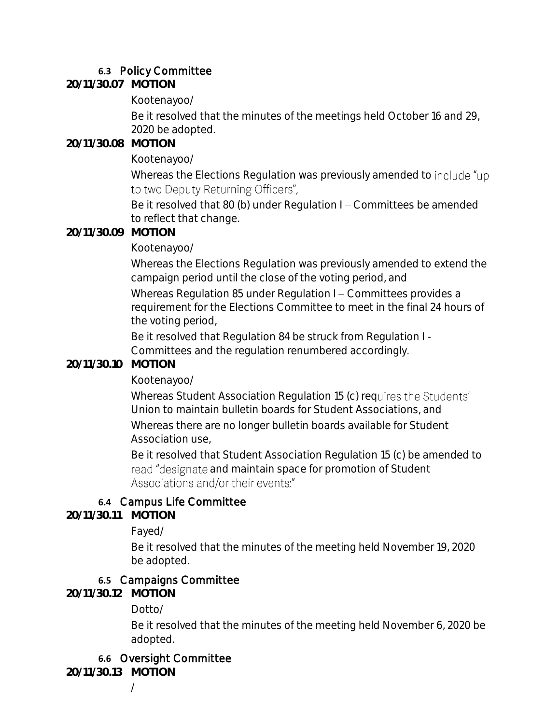## **6.3** Policy Committee

**20/11/30.07 MOTION**

Kootenayoo/

Be it resolved that the minutes of the meetings held October 16 and 29, 2020 be adopted.

**20/11/30.08 MOTION**

Kootenayoo/

Whereas the Elections Regulation was previously amended to include "up to two Deputy Returning Officers",

Be it resolved that 80 (b) under Regulation I – Committees be amended to reflect that change.

#### **20/11/30.09 MOTION**

## Kootenayoo/

Whereas the Elections Regulation was previously amended to extend the campaign period until the close of the voting period, and

Whereas Regulation 85 under Regulation I - Committees provides a requirement for the Elections Committee to meet in the final 24 hours of the voting period,

Be it resolved that Regulation 84 be struck from Regulation I - Committees and the regulation renumbered accordingly.

## **20/11/30.10 MOTION**

Kootenayoo/

Whereas Student Association Regulation 15 (c) requires the Students' Union to maintain bulletin boards for Student Associations, and Whereas there are no longer bulletin boards available for Student Association use,

Be it resolved that Student Association Regulation 15 (c) be amended to read "designate and maintain space for promotion of Student Associations and/or their events;"

## **6.4** Campus Life Committee

**20/11/30.11 MOTION**

Fayed/

Be it resolved that the minutes of the meeting held November 19, 2020 be adopted.

## **6.5** Campaigns Committee

**20/11/30.12 MOTION**

Dotto/

Be it resolved that the minutes of the meeting held November 6, 2020 be adopted.

## **6.6** Oversight Committee

**20/11/30.13 MOTION**

/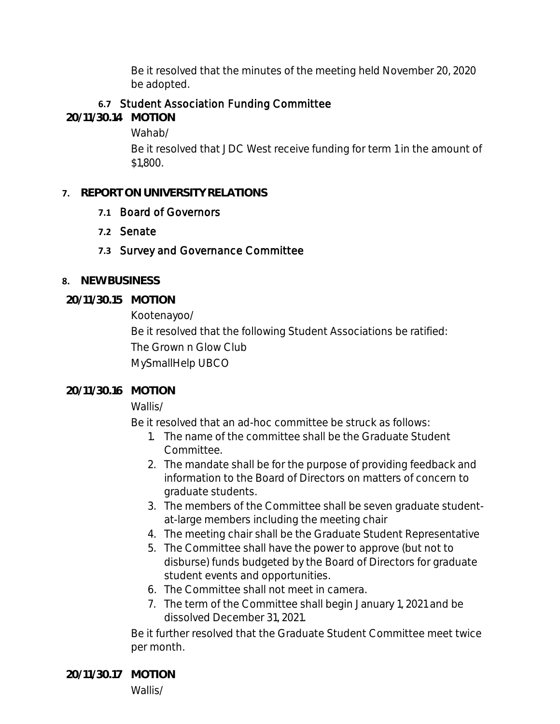Be it resolved that the minutes of the meeting held November 20, 2020 be adopted.

## **6.7** Student Association Funding Committee

**20/11/30.14 MOTION**

Wahab/

Be it resolved that JDC West receive funding for term 1 in the amount of \$1,800.

#### **7. REPORT ON UNIVERSITY RELATIONS**

## **7.1** Board of Governors

- **7.2** Senate
- **7.3** Survey and Governance Committee
- **8. NEW BUSINESS**
- **20/11/30.15 MOTION**

Kootenayoo/

Be it resolved that the following Student Associations be ratified: The Grown n Glow Club MySmallHelp UBCO

## **20/11/30.16 MOTION**

Wallis/

Be it resolved that an ad-hoc committee be struck as follows:

- 1. The name of the committee shall be the Graduate Student Committee.
- 2. The mandate shall be for the purpose of providing feedback and information to the Board of Directors on matters of concern to graduate students.
- 3. The members of the Committee shall be seven graduate studentat-large members including the meeting chair
- 4. The meeting chair shall be the Graduate Student Representative
- 5. The Committee shall have the power to approve (but not to disburse) funds budgeted by the Board of Directors for graduate student events and opportunities.
- 6. The Committee shall not meet in camera.
- 7. The term of the Committee shall begin January 1, 2021 and be dissolved December 31, 2021.

Be it further resolved that the Graduate Student Committee meet twice per month.

**20/11/30.17 MOTION** Wallis/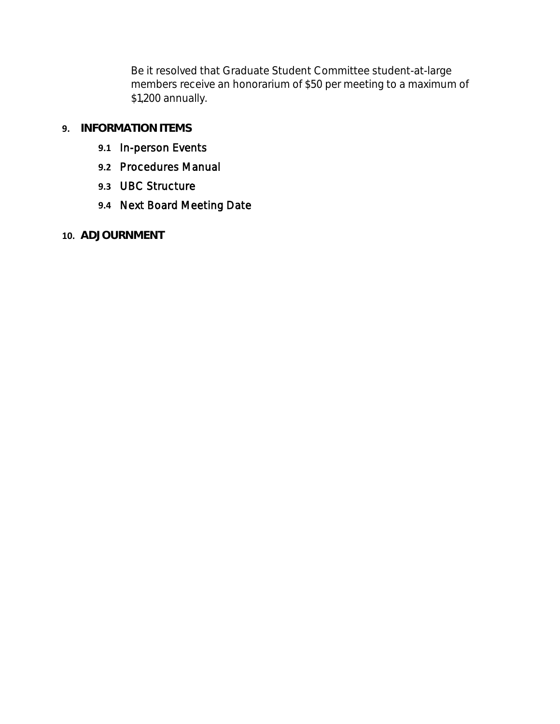Be it resolved that Graduate Student Committee student-at-large members receive an honorarium of \$50 per meeting to a maximum of \$1,200 annually.

## **9. INFORMATION ITEMS**

- **9.1** In-person Events
- **9.2** Procedures Manual
- **9.3** UBC Structure
- **9.4** Next Board Meeting Date
- **10. ADJOURNMENT**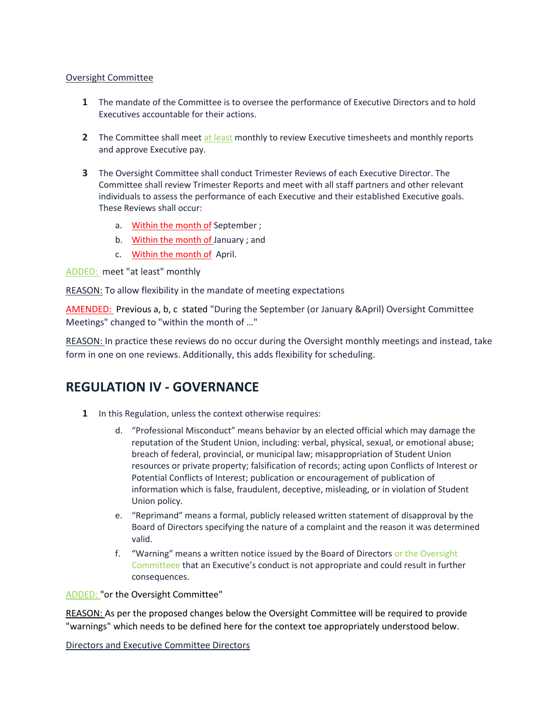#### Oversight Committee

- **1** The mandate of the Committee is to oversee the performance of Executive Directors and to hold Executives accountable for their actions.
- **2** The Committee shall meet at least monthly to review Executive timesheets and monthly reports and approve Executive pay.
- **3** The Oversight Committee shall conduct Trimester Reviews of each Executive Director. The Committee shall review Trimester Reports and meet with all staff partners and other relevant individuals to assess the performance of each Executive and their established Executive goals. These Reviews shall occur:
	- a. Within the month of September ;
	- b. Within the month of January ; and
	- c. Within the month of April.

ADDED: meet "at least" monthly

REASON: To allow flexibility in the mandate of meeting expectations

AMENDED: Previous a, b, c stated "During the September (or January &April) Oversight Committee Meetings" changed to "within the month of …"

REASON: In practice these reviews do no occur during the Oversight monthly meetings and instead, take form in one on one reviews. Additionally, this adds flexibility for scheduling.

## **REGULATION IV - GOVERNANCE**

- **1** In this Regulation, unless the context otherwise requires:
	- d. "Professional Misconduct" means behavior by an elected official which may damage the reputation of the Student Union, including: verbal, physical, sexual, or emotional abuse; breach of federal, provincial, or municipal law; misappropriation of Student Union resources or private property; falsification of records; acting upon Conflicts of Interest or Potential Conflicts of Interest; publication or encouragement of publication of information which is false, fraudulent, deceptive, misleading, or in violation of Student Union policy.
	- e. "Reprimand" means a formal, publicly released written statement of disapproval by the Board of Directors specifying the nature of a complaint and the reason it was determined valid.
	- f. "Warning" means a written notice issued by the Board of Directors or the Oversight Committeee that an Executive's conduct is not appropriate and could result in further consequences.

#### ADDED: "or the Oversight Committee"

REASON: As per the proposed changes below the Oversight Committee will be required to provide "warnings" which needs to be defined here for the context toe appropriately understood below.

Directors and Executive Committee Directors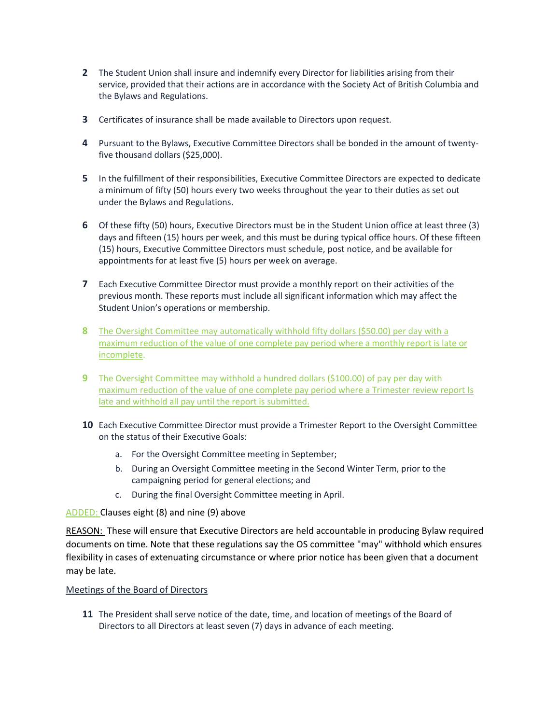- **2** The Student Union shall insure and indemnify every Director for liabilities arising from their service, provided that their actions are in accordance with the Society Act of British Columbia and the Bylaws and Regulations.
- **3** Certificates of insurance shall be made available to Directors upon request.
- **4** Pursuant to the Bylaws, Executive Committee Directors shall be bonded in the amount of twentyfive thousand dollars (\$25,000).
- **5** In the fulfillment of their responsibilities, Executive Committee Directors are expected to dedicate a minimum of fifty (50) hours every two weeks throughout the year to their duties as set out under the Bylaws and Regulations.
- **6** Of these fifty (50) hours, Executive Directors must be in the Student Union office at least three (3) days and fifteen (15) hours per week, and this must be during typical office hours. Of these fifteen (15) hours, Executive Committee Directors must schedule, post notice, and be available for appointments for at least five (5) hours per week on average.
- **7** Each Executive Committee Director must provide a monthly report on their activities of the previous month. These reports must include all significant information which may affect the Student Union's operations or membership.
- **8** The Oversight Committee may automatically withhold fifty dollars (\$50.00) per day with a maximum reduction of the value of one complete pay period where a monthly report is late or incomplete.
- **9** The Oversight Committee may withhold a hundred dollars (\$100.00) of pay per day with maximum reduction of the value of one complete pay period where a Trimester review report Is late and withhold all pay until the report is submitted.
- **10** Each Executive Committee Director must provide a Trimester Report to the Oversight Committee on the status of their Executive Goals:
	- a. For the Oversight Committee meeting in September;
	- b. During an Oversight Committee meeting in the Second Winter Term, prior to the campaigning period for general elections; and
	- c. During the final Oversight Committee meeting in April.

ADDED: Clauses eight (8) and nine (9) above

REASON: These will ensure that Executive Directors are held accountable in producing Bylaw required documents on time. Note that these regulations say the OS committee "may" withhold which ensures flexibility in cases of extenuating circumstance or where prior notice has been given that a document may be late.

Meetings of the Board of Directors

**11** The President shall serve notice of the date, time, and location of meetings of the Board of Directors to all Directors at least seven (7) days in advance of each meeting.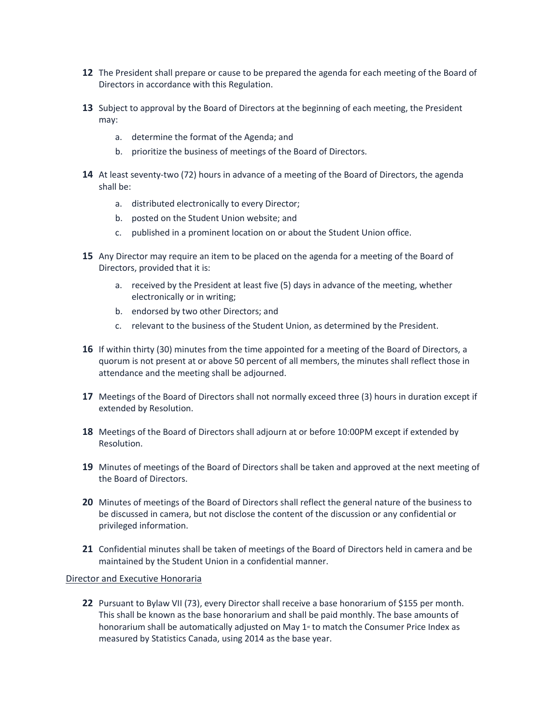- **12** The President shall prepare or cause to be prepared the agenda for each meeting of the Board of Directors in accordance with this Regulation.
- **13** Subject to approval by the Board of Directors at the beginning of each meeting, the President may:
	- a. determine the format of the Agenda; and
	- b. prioritize the business of meetings of the Board of Directors.
- **14** At least seventy-two (72) hours in advance of a meeting of the Board of Directors, the agenda shall be:
	- a. distributed electronically to every Director;
	- b. posted on the Student Union website; and
	- c. published in a prominent location on or about the Student Union office.
- **15** Any Director may require an item to be placed on the agenda for a meeting of the Board of Directors, provided that it is:
	- a. received by the President at least five (5) days in advance of the meeting, whether electronically or in writing;
	- b. endorsed by two other Directors; and
	- c. relevant to the business of the Student Union, as determined by the President.
- **16** If within thirty (30) minutes from the time appointed for a meeting of the Board of Directors, a quorum is not present at or above 50 percent of all members, the minutes shall reflect those in attendance and the meeting shall be adjourned.
- **17** Meetings of the Board of Directors shall not normally exceed three (3) hours in duration except if extended by Resolution.
- **18** Meetings of the Board of Directors shall adjourn at or before 10:00PM except if extended by Resolution.
- **19** Minutes of meetings of the Board of Directors shall be taken and approved at the next meeting of the Board of Directors.
- **20** Minutes of meetings of the Board of Directors shall reflect the general nature of the business to be discussed in camera, but not disclose the content of the discussion or any confidential or privileged information.
- **21** Confidential minutes shall be taken of meetings of the Board of Directors held in camera and be maintained by the Student Union in a confidential manner.

#### Director and Executive Honoraria

**22** Pursuant to Bylaw VII (73), every Director shall receive a base honorarium of \$155 per month. This shall be known as the base honorarium and shall be paid monthly. The base amounts of honorarium shall be automatically adjusted on May  $1<sup>*</sup>$  to match the Consumer Price Index as measured by Statistics Canada, using 2014 as the base year.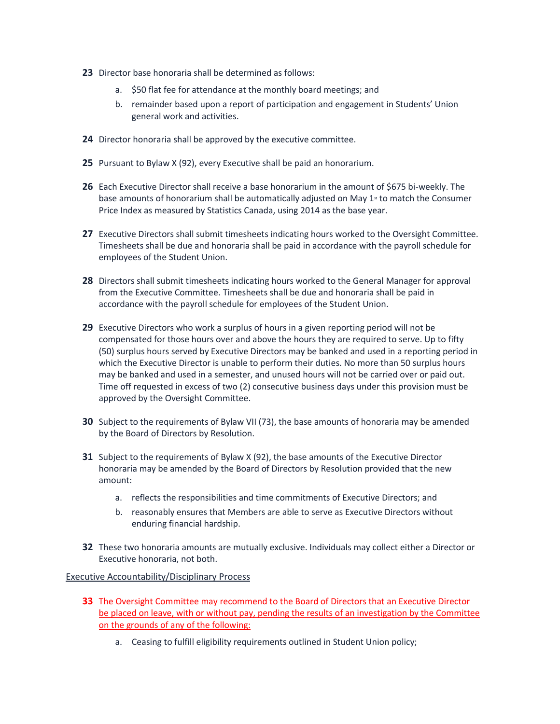- **23** Director base honoraria shall be determined as follows:
	- a. \$50 flat fee for attendance at the monthly board meetings; and
	- b. remainder based upon a report of participation and engagement in Students' Union general work and activities.
- **24** Director honoraria shall be approved by the executive committee.
- **25** Pursuant to Bylaw X (92), every Executive shall be paid an honorarium.
- **26** Each Executive Director shall receive a base honorarium in the amount of \$675 bi-weekly. The base amounts of honorarium shall be automatically adjusted on May  $1<sup>*</sup>$  to match the Consumer Price Index as measured by Statistics Canada, using 2014 as the base year.
- **27** Executive Directors shall submit timesheets indicating hours worked to the Oversight Committee. Timesheets shall be due and honoraria shall be paid in accordance with the payroll schedule for employees of the Student Union.
- **28** Directors shall submit timesheets indicating hours worked to the General Manager for approval from the Executive Committee. Timesheets shall be due and honoraria shall be paid in accordance with the payroll schedule for employees of the Student Union.
- **29** Executive Directors who work a surplus of hours in a given reporting period will not be compensated for those hours over and above the hours they are required to serve. Up to fifty (50) surplus hours served by Executive Directors may be banked and used in a reporting period in which the Executive Director is unable to perform their duties. No more than 50 surplus hours may be banked and used in a semester, and unused hours will not be carried over or paid out. Time off requested in excess of two (2) consecutive business days under this provision must be approved by the Oversight Committee.
- **30** Subject to the requirements of Bylaw VII (73), the base amounts of honoraria may be amended by the Board of Directors by Resolution.
- **31** Subject to the requirements of Bylaw X (92), the base amounts of the Executive Director honoraria may be amended by the Board of Directors by Resolution provided that the new amount:
	- a. reflects the responsibilities and time commitments of Executive Directors; and
	- b. reasonably ensures that Members are able to serve as Executive Directors without enduring financial hardship.
- **32** These two honoraria amounts are mutually exclusive. Individuals may collect either a Director or Executive honoraria, not both.

#### Executive Accountability/Disciplinary Process

- **33** The Oversight Committee may recommend to the Board of Directors that an Executive Director be placed on leave, with or without pay, pending the results of an investigation by the Committee on the grounds of any of the following:
	- a. Ceasing to fulfill eligibility requirements outlined in Student Union policy;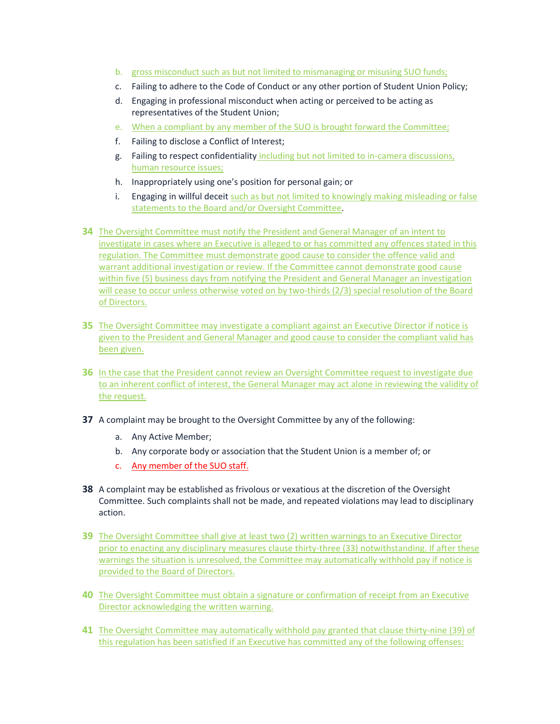- b. gross misconduct such as but not limited to mismanaging or misusing SUO funds;
- c. Failing to adhere to the Code of Conduct or any other portion of Student Union Policy;
- d. Engaging in professional misconduct when acting or perceived to be acting as representatives of the Student Union;
- e. When a compliant by any member of the SUO is brought forward the Committee;
- f. Failing to disclose a Conflict of Interest;
- g. Failing to respect confidentiality including but not limited to in-camera discussions, human resource issues;
- h. Inappropriately using one's position for personal gain; or
- i. Engaging in willful deceit such as but not limited to knowingly making misleading or false statements to the Board and/or Oversight Committee.
- **34** The Oversight Committee must notify the President and General Manager of an intent to investigate in cases where an Executive is alleged to or has committed any offences stated in this regulation. The Committee must demonstrate good cause to consider the offence valid and warrant additional investigation or review. If the Committee cannot demonstrate good cause within five (5) business days from notifying the President and General Manager an investigation will cease to occur unless otherwise voted on by two-thirds (2/3) special resolution of the Board of Directors.
- **35** The Oversight Committee may investigate a compliant against an Executive Director if notice is given to the President and General Manager and good cause to consider the compliant valid has been given.
- **36** In the case that the President cannot review an Oversight Committee request to investigate due to an inherent conflict of interest, the General Manager may act alone in reviewing the validity of the request.
- **37** A complaint may be brought to the Oversight Committee by any of the following:
	- a. Any Active Member;
	- b. Any corporate body or association that the Student Union is a member of; or
	- c. Any member of the SUO staff.
- **38** A complaint may be established as frivolous or vexatious at the discretion of the Oversight Committee. Such complaints shall not be made, and repeated violations may lead to disciplinary action.
- **39** The Oversight Committee shall give at least two (2) written warnings to an Executive Director prior to enacting any disciplinary measures clause thirty-three (33) notwithstanding. If after these warnings the situation is unresolved, the Committee may automatically withhold pay if notice is provided to the Board of Directors.
- **40** The Oversight Committee must obtain a signature or confirmation of receipt from an Executive Director acknowledging the written warning.
- **41** The Oversight Committee may automatically withhold pay granted that clause thirty-nine (39) of this regulation has been satisfied if an Executive has committed any of the following offenses: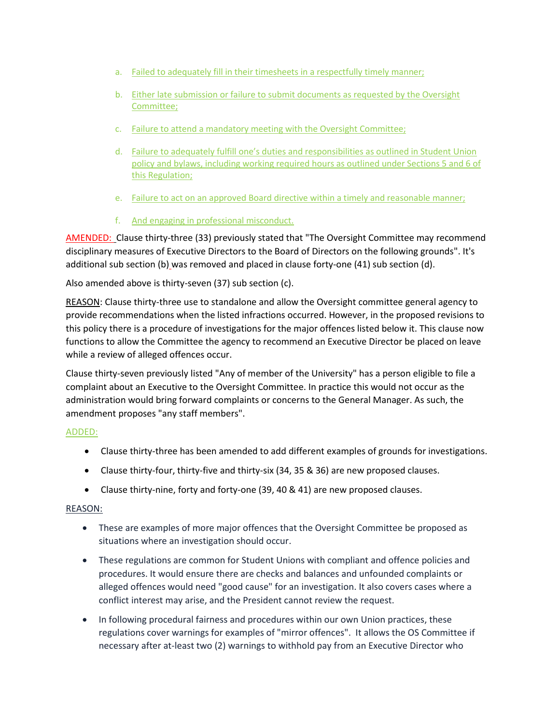- a. Failed to adequately fill in their timesheets in a respectfully timely manner;
- b. Either late submission or failure to submit documents as requested by the Oversight Committee;
- c. Failure to attend a mandatory meeting with the Oversight Committee;
- d. Failure to adequately fulfill one's duties and responsibilities as outlined in Student Union policy and bylaws, including working required hours as outlined under Sections 5 and 6 of this Regulation;
- e. Failure to act on an approved Board directive within a timely and reasonable manner;
- f. And engaging in professional misconduct.

AMENDED: Clause thirty-three (33) previously stated that "The Oversight Committee may recommend disciplinary measures of Executive Directors to the Board of Directors on the following grounds". It's additional sub section (b) was removed and placed in clause forty-one (41) sub section (d).

Also amended above is thirty-seven (37) sub section (c).

REASON: Clause thirty-three use to standalone and allow the Oversight committee general agency to provide recommendations when the listed infractions occurred. However, in the proposed revisions to this policy there is a procedure of investigations for the major offences listed below it. This clause now functions to allow the Committee the agency to recommend an Executive Director be placed on leave while a review of alleged offences occur.

Clause thirty-seven previously listed "Any of member of the University" has a person eligible to file a complaint about an Executive to the Oversight Committee. In practice this would not occur as the administration would bring forward complaints or concerns to the General Manager. As such, the amendment proposes "any staff members".

#### ADDED:

- Clause thirty-three has been amended to add different examples of grounds for investigations.
- Clause thirty-four, thirty-five and thirty-six (34, 35 & 36) are new proposed clauses.
- Clause thirty-nine, forty and forty-one (39, 40 & 41) are new proposed clauses.

#### REASON:

- These are examples of more major offences that the Oversight Committee be proposed as situations where an investigation should occur.
- These regulations are common for Student Unions with compliant and offence policies and procedures. It would ensure there are checks and balances and unfounded complaints or alleged offences would need "good cause" for an investigation. It also covers cases where a conflict interest may arise, and the President cannot review the request.
- In following procedural fairness and procedures within our own Union practices, these regulations cover warnings for examples of "mirror offences". It allows the OS Committee if necessary after at-least two (2) warnings to withhold pay from an Executive Director who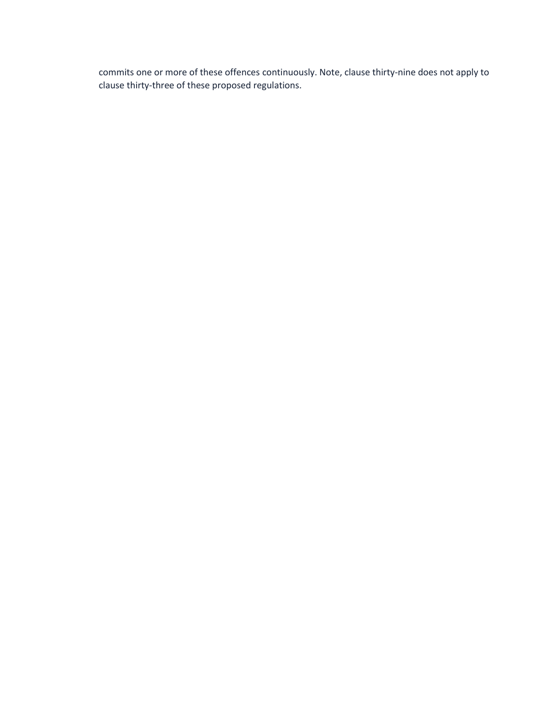commits one or more of these offences continuously. Note, clause thirty-nine does not apply to clause thirty-three of these proposed regulations.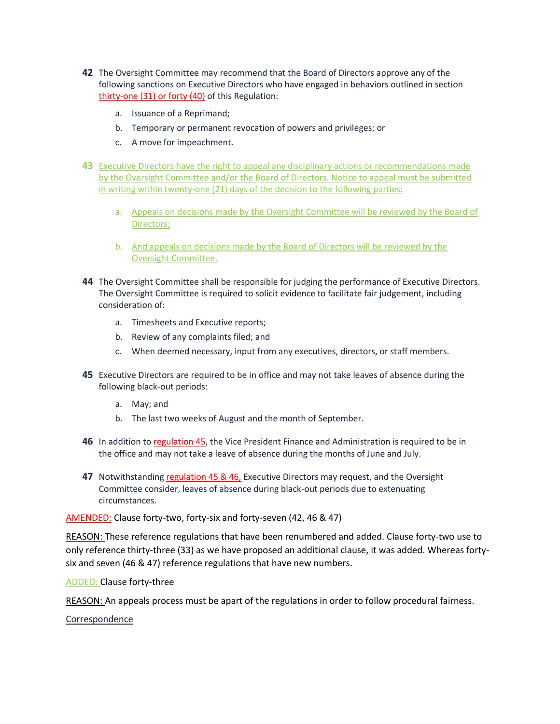- **42** The Oversight Committee may recommend that the Board of Directors approve any of the following sanctions on Executive Directors who have engaged in behaviors outlined in section thirty-one (31) or forty (40) of this Regulation:
	- a. Issuance of a Reprimand;
	- b. Temporary or permanent revocation of powers and privileges; or
	- c. A move for impeachment.
- **43** Executive Directors have the right to appeal any disciplinary actions or recommendations made by the Oversight Committee and/or the Board of Directors. Notice to appeal must be submitted in writing within twenty-one (21) days of the decision to the following parties:
	- a. Appeals on decisions made by the Oversight Committee will be reviewed by the Board of Directors;
	- b. And appeals on decisions made by the Board of Directors will be reviewed by the Oversight Committee.
- **44** The Oversight Committee shall be responsible for judging the performance of Executive Directors. The Oversight Committee is required to solicit evidence to facilitate fair judgement, including consideration of:
	- a. Timesheets and Executive reports;
	- b. Review of any complaints filed; and
	- c. When deemed necessary, input from any executives, directors, or staff members.
- **45** Executive Directors are required to be in office and may not take leaves of absence during the following black-out periods:
	- a. May; and
	- b. The last two weeks of August and the month of September.
- **46** In addition to regulation 45, the Vice President Finance and Administration is required to be in the office and may not take a leave of absence during the months of June and July.
- **47** Notwithstanding regulation 45 & 46, Executive Directors may request, and the Oversight Committee consider, leaves of absence during black-out periods due to extenuating circumstances.

AMENDED: Clause forty-two, forty-six and forty-seven (42, 46 & 47)

REASON: These reference regulations that have been renumbered and added. Clause forty-two use to only reference thirty-three (33) as we have proposed an additional clause, it was added. Whereas fortysix and seven (46 & 47) reference regulations that have new numbers.

ADDED: Clause forty-three

REASON: An appeals process must be apart of the regulations in order to follow procedural fairness.

Correspondence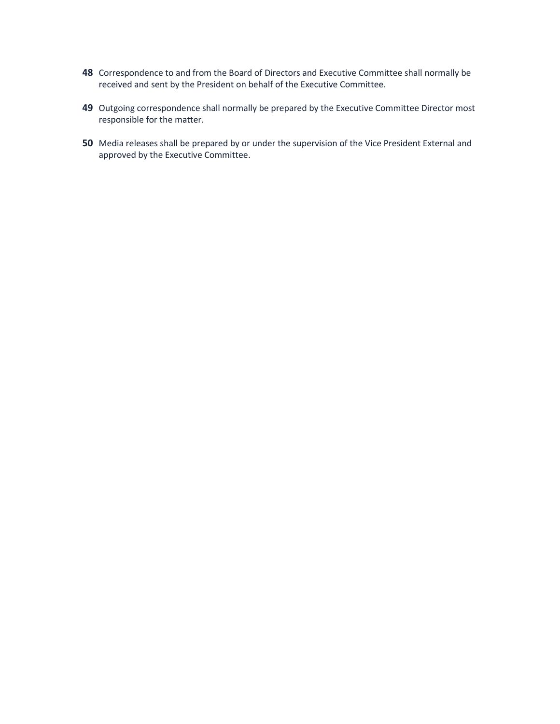- **48** Correspondence to and from the Board of Directors and Executive Committee shall normally be received and sent by the President on behalf of the Executive Committee.
- **49** Outgoing correspondence shall normally be prepared by the Executive Committee Director most responsible for the matter.
- **50** Media releases shall be prepared by or under the supervision of the Vice President External and approved by the Executive Committee.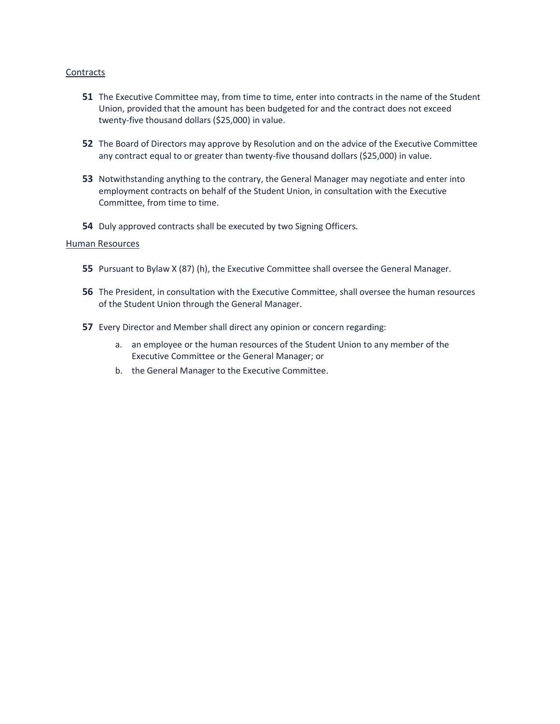#### **Contracts**

- **51** The Executive Committee may, from time to time, enter into contracts in the name of the Student Union, provided that the amount has been budgeted for and the contract does not exceed twenty-five thousand dollars (\$25,000) in value.
- **52** The Board of Directors may approve by Resolution and on the advice of the Executive Committee any contract equal to or greater than twenty-five thousand dollars (\$25,000) in value.
- **53** Notwithstanding anything to the contrary, the General Manager may negotiate and enter into employment contracts on behalf of the Student Union, in consultation with the Executive Committee, from time to time.
- **54** Duly approved contracts shall be executed by two Signing Officers.

#### Human Resources

- **55** Pursuant to Bylaw X (87) (h), the Executive Committee shall oversee the General Manager.
- **56** The President, in consultation with the Executive Committee, shall oversee the human resources of the Student Union through the General Manager.
- **57** Every Director and Member shall direct any opinion or concern regarding:
	- a. an employee or the human resources of the Student Union to any member of the Executive Committee or the General Manager; or
	- b. the General Manager to the Executive Committee.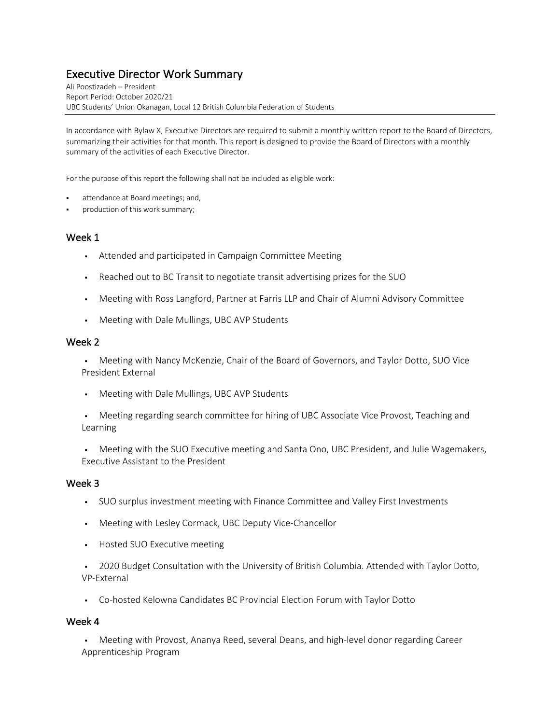# Executive Director Work Summary Ali Poostizadeh – President

Report Period: October 2020/21 UBC Students' Union Okanagan, Local 12 British Columbia Federation of Students

In accordance with Bylaw X, Executive Directors are required to submit a monthly written report to the Board of Directors, summarizing their activities for that month. This report is designed to provide the Board of Directors with a monthly summary of the activities of each Executive Director.

For the purpose of this report the following shall not be included as eligible work:

- attendance at Board meetings; and,
- production of this work summary;

#### Week 1

- § Attended and participated in Campaign Committee Meeting
- § Reached out to BC Transit to negotiate transit advertising prizes for the SUO
- Meeting with Ross Langford, Partner at Farris LLP and Chair of Alumni Advisory Committee
- § Meeting with Dale Mullings, UBC AVP Students

#### Week 2

§ Meeting with Nancy McKenzie, Chair of the Board of Governors, and Taylor Dotto, SUO Vice President External

- § Meeting with Dale Mullings, UBC AVP Students
- Meeting regarding search committee for hiring of UBC Associate Vice Provost, Teaching and Learning
- Meeting with the SUO Executive meeting and Santa Ono, UBC President, and Julie Wagemakers, Executive Assistant to the President

#### Week 3

- § SUO surplus investment meeting with Finance Committee and Valley First Investments
- § Meeting with Lesley Cormack, UBC Deputy Vice-Chancellor
- § Hosted SUO Executive meeting

<sup>•</sup> 2020 Budget Consultation with the University of British Columbia. Attended with Taylor Dotto, VP-External

§ Co-hosted Kelowna Candidates BC Provincial Election Forum with Taylor Dotto

#### Week 4

• Meeting with Provost, Ananya Reed, several Deans, and high-level donor regarding Career Apprenticeship Program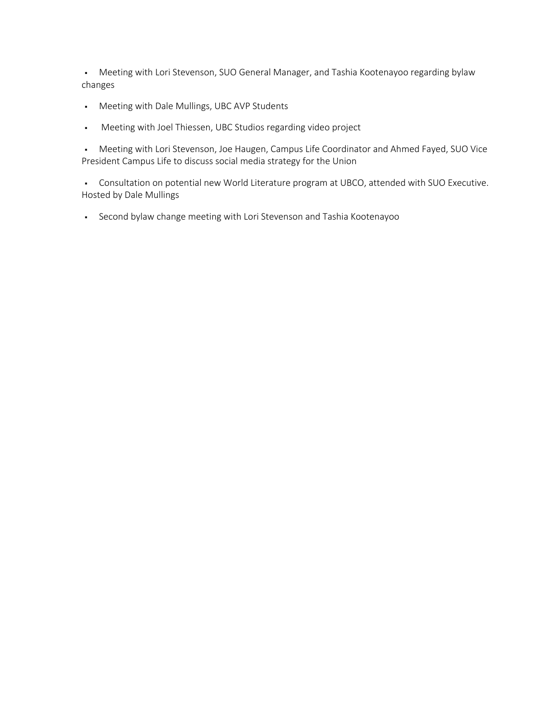• Meeting with Lori Stevenson, SUO General Manager, and Tashia Kootenayoo regarding bylaw changes

- § Meeting with Dale Mullings, UBC AVP Students
- § Meeting with Joel Thiessen, UBC Studios regarding video project

§ Meeting with Lori Stevenson, Joe Haugen, Campus Life Coordinator and Ahmed Fayed, SUO Vice President Campus Life to discuss social media strategy for the Union

§ Consultation on potential new World Literature program at UBCO, attended with SUO Executive. Hosted by Dale Mullings

§ Second bylaw change meeting with Lori Stevenson and Tashia Kootenayoo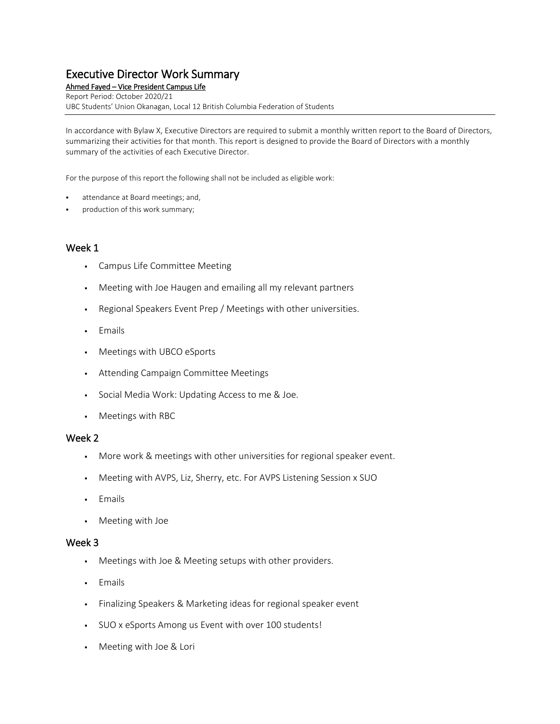Ahmed Fayed – Vice President Campus Life Report Period: October 2020/21 UBC Students' Union Okanagan, Local 12 British Columbia Federation of Students

In accordance with Bylaw X, Executive Directors are required to submit a monthly written report to the Board of Directors, summarizing their activities for that month. This report is designed to provide the Board of Directors with a monthly summary of the activities of each Executive Director.

For the purpose of this report the following shall not be included as eligible work:

- attendance at Board meetings; and,
- production of this work summary;

#### Week 1

- Campus Life Committee Meeting
- Meeting with Joe Haugen and emailing all my relevant partners
- Regional Speakers Event Prep / Meetings with other universities.
- Emails
- Meetings with UBCO eSports
- Attending Campaign Committee Meetings
- **Social Media Work: Updating Access to me & Joe.**
- Meetings with RBC

#### Week 2

- More work & meetings with other universities for regional speaker event.
- Meeting with AVPS, Liz, Sherry, etc. For AVPS Listening Session x SUO
- Emails
- Meeting with Joe

- Meetings with Joe & Meeting setups with other providers.
- Emails
- **·** Finalizing Speakers & Marketing ideas for regional speaker event
- SUO x eSports Among us Event with over 100 students!
- Meeting with Joe & Lori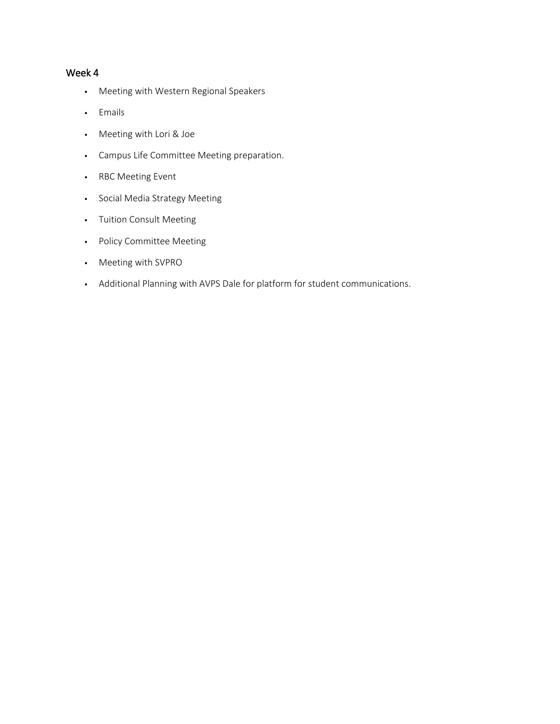- Meeting with Western Regional Speakers
- Emails
- Meeting with Lori & Joe
- Campus Life Committee Meeting preparation.
- RBC Meeting Event
- Social Media Strategy Meeting
- Tuition Consult Meeting
- Policy Committee Meeting
- Meeting with SVPRO
- Additional Planning with AVPS Dale for platform for student communications.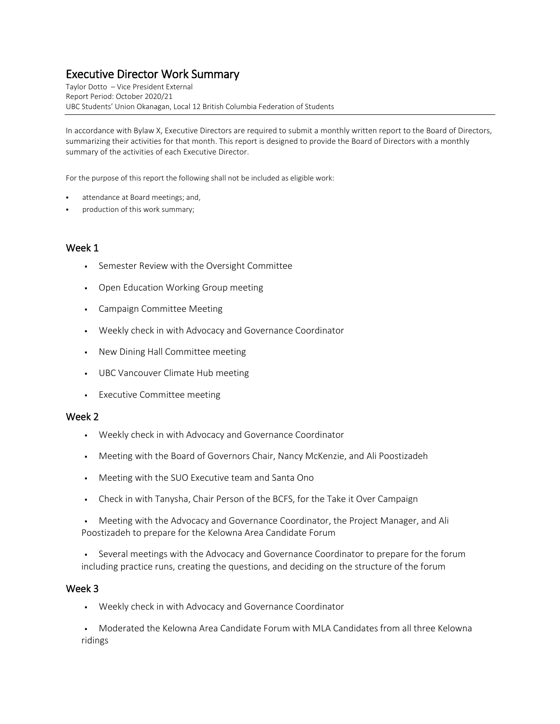Taylor Dotto – Vice President External Report Period: October 2020/21 UBC Students' Union Okanagan, Local 12 British Columbia Federation of Students

In accordance with Bylaw X, Executive Directors are required to submit a monthly written report to the Board of Directors, summarizing their activities for that month. This report is designed to provide the Board of Directors with a monthly summary of the activities of each Executive Director.

For the purpose of this report the following shall not be included as eligible work:

- attendance at Board meetings; and,
- production of this work summary;

#### Week 1

- Semester Review with the Oversight Committee
- Open Education Working Group meeting
- Campaign Committee Meeting
- Weekly check in with Advocacy and Governance Coordinator
- New Dining Hall Committee meeting
- UBC Vancouver Climate Hub meeting
- Executive Committee meeting

#### Week 2

- Weekly check in with Advocacy and Governance Coordinator
- Meeting with the Board of Governors Chair, Nancy McKenzie, and Ali Poostizadeh
- Meeting with the SUO Executive team and Santa Ono
- Check in with Tanysha, Chair Person of the BCFS, for the Take it Over Campaign
- Meeting with the Advocacy and Governance Coordinator, the Project Manager, and Ali Poostizadeh to prepare for the Kelowna Area Candidate Forum
- Several meetings with the Advocacy and Governance Coordinator to prepare for the forum including practice runs, creating the questions, and deciding on the structure of the forum

#### Week 3

▪ Weekly check in with Advocacy and Governance Coordinator

▪ Moderated the Kelowna Area Candidate Forum with MLA Candidates from all three Kelowna ridings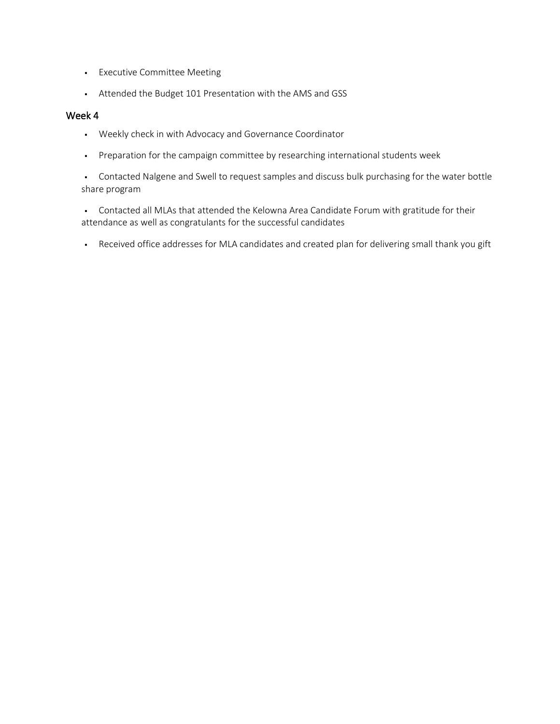- **•** Executive Committee Meeting
- Attended the Budget 101 Presentation with the AMS and GSS

- Weekly check in with Advocacy and Governance Coordinator
- Preparation for the campaign committee by researching international students week
- Contacted Nalgene and Swell to request samples and discuss bulk purchasing for the water bottle share program
- Contacted all MLAs that attended the Kelowna Area Candidate Forum with gratitude for their attendance as well as congratulants for the successful candidates
- Received office addresses for MLA candidates and created plan for delivering small thank you gift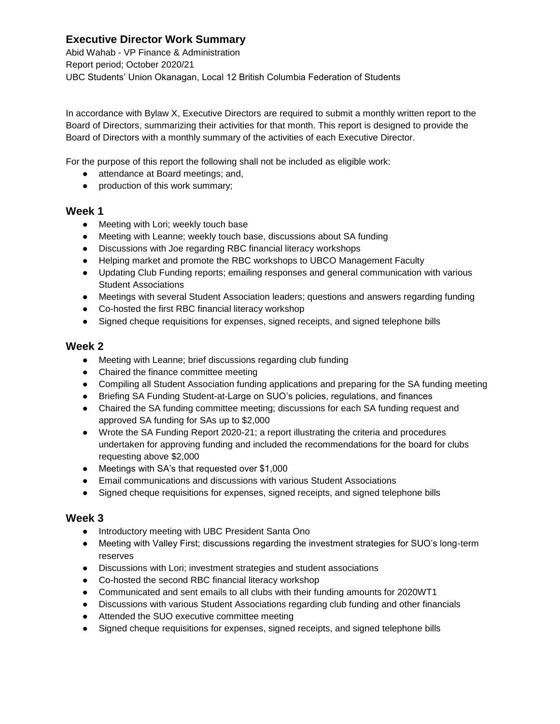Abid Wahab - VP Finance & Administration Report period; October 2020/21 UBC Students' Union Okanagan, Local 12 British Columbia Federation of Students

In accordance with Bylaw X, Executive Directors are required to submit a monthly written report to the Board of Directors, summarizing their activities for that month. This report is designed to provide the Board of Directors with a monthly summary of the activities of each Executive Director.

For the purpose of this report the following shall not be included as eligible work:

- attendance at Board meetings; and,
- production of this work summary;

#### **Week 1**

- Meeting with Lori; weekly touch base
- Meeting with Leanne; weekly touch base, discussions about SA funding
- Discussions with Joe regarding RBC financial literacy workshops
- Helping market and promote the RBC workshops to UBCO Management Faculty
- Updating Club Funding reports; emailing responses and general communication with various Student Associations
- Meetings with several Student Association leaders; questions and answers regarding funding
- Co-hosted the first RBC financial literacy workshop
- Signed cheque requisitions for expenses, signed receipts, and signed telephone bills

#### **Week 2**

- Meeting with Leanne; brief discussions regarding club funding
- Chaired the finance committee meeting
- Compiling all Student Association funding applications and preparing for the SA funding meeting
- Briefing SA Funding Student-at-Large on SUO's policies, regulations, and finances
- Chaired the SA funding committee meeting; discussions for each SA funding request and approved SA funding for SAs up to \$2,000
- Wrote the SA Funding Report 2020-21; a report illustrating the criteria and procedures undertaken for approving funding and included the recommendations for the board for clubs requesting above \$2,000
- Meetings with SA's that requested over \$1,000
- Email communications and discussions with various Student Associations
- Signed cheque requisitions for expenses, signed receipts, and signed telephone bills

- Introductory meeting with UBC President Santa Ono
- Meeting with Valley First; discussions regarding the investment strategies for SUO's long-term reserves
- Discussions with Lori; investment strategies and student associations
- Co-hosted the second RBC financial literacy workshop
- Communicated and sent emails to all clubs with their funding amounts for 2020WT1
- Discussions with various Student Associations regarding club funding and other financials
- Attended the SUO executive committee meeting
- Signed cheque requisitions for expenses, signed receipts, and signed telephone bills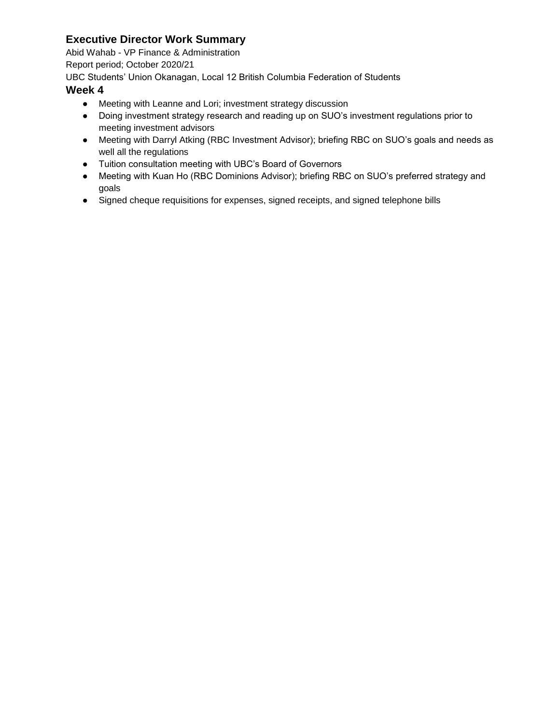Abid Wahab - VP Finance & Administration

Report period; October 2020/21

UBC Students' Union Okanagan, Local 12 British Columbia Federation of Students

- Meeting with Leanne and Lori; investment strategy discussion
- Doing investment strategy research and reading up on SUO's investment regulations prior to meeting investment advisors
- Meeting with Darryl Atking (RBC Investment Advisor); briefing RBC on SUO's goals and needs as well all the regulations
- Tuition consultation meeting with UBC's Board of Governors
- Meeting with Kuan Ho (RBC Dominions Advisor); briefing RBC on SUO's preferred strategy and goals
- Signed cheque requisitions for expenses, signed receipts, and signed telephone bills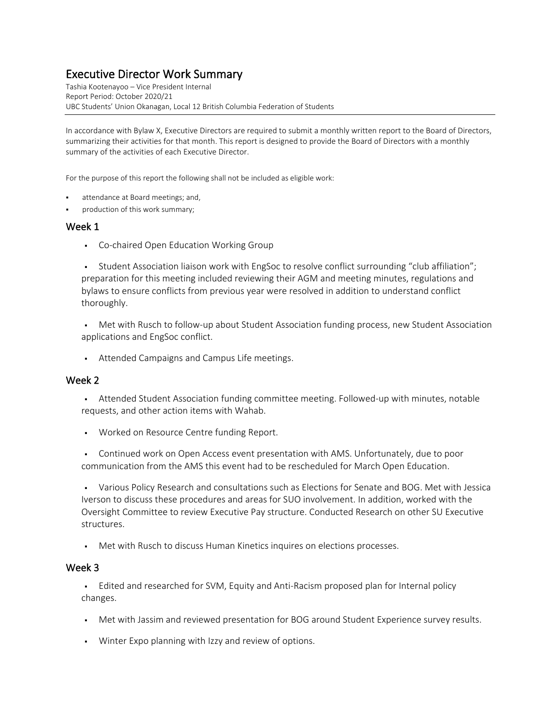Tashia Kootenayoo – Vice President Internal Report Period: October 2020/21 UBC Students' Union Okanagan, Local 12 British Columbia Federation of Students

In accordance with Bylaw X, Executive Directors are required to submit a monthly written report to the Board of Directors, summarizing their activities for that month. This report is designed to provide the Board of Directors with a monthly summary of the activities of each Executive Director.

For the purpose of this report the following shall not be included as eligible work:

- attendance at Board meetings; and,
- production of this work summary;

#### Week 1

▪ Co-chaired Open Education Working Group

▪ Student Association liaison work with EngSoc to resolve conflict surrounding "club affiliation"; preparation for this meeting included reviewing their AGM and meeting minutes, regulations and bylaws to ensure conflicts from previous year were resolved in addition to understand conflict thoroughly.

• Met with Rusch to follow-up about Student Association funding process, new Student Association applications and EngSoc conflict.

▪ Attended Campaigns and Campus Life meetings.

#### Week 2

**•** Attended Student Association funding committee meeting. Followed-up with minutes, notable requests, and other action items with Wahab.

- Worked on Resource Centre funding Report.
- Continued work on Open Access event presentation with AMS. Unfortunately, due to poor communication from the AMS this event had to be rescheduled for March Open Education.

▪ Various Policy Research and consultations such as Elections for Senate and BOG. Met with Jessica Iverson to discuss these procedures and areas for SUO involvement. In addition, worked with the Oversight Committee to review Executive Pay structure. Conducted Research on other SU Executive structures.

▪ Met with Rusch to discuss Human Kinetics inquires on elections processes.

#### Week 3

• Edited and researched for SVM, Equity and Anti-Racism proposed plan for Internal policy changes.

- . Met with Jassim and reviewed presentation for BOG around Student Experience survey results.
- Winter Expo planning with Izzy and review of options.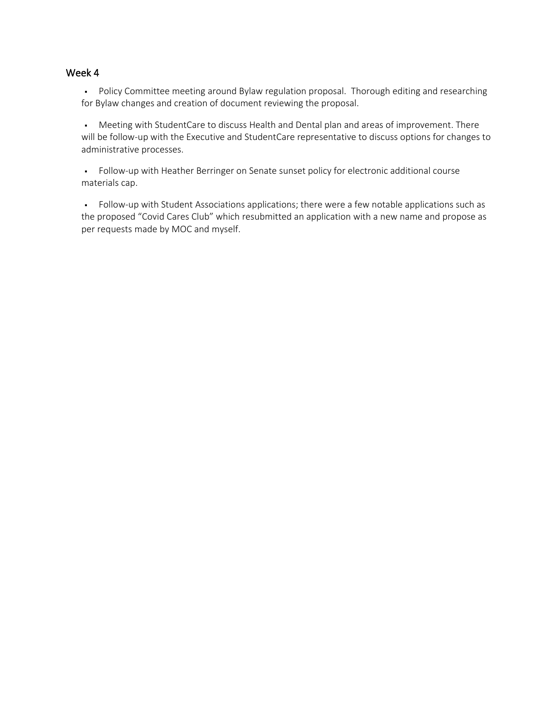#### Week 4

▪ Policy Committee meeting around Bylaw regulation proposal. Thorough editing and researching for Bylaw changes and creation of document reviewing the proposal.

▪ Meeting with StudentCare to discuss Health and Dental plan and areas of improvement. There will be follow-up with the Executive and StudentCare representative to discuss options for changes to administrative processes.

▪ Follow-up with Heather Berringer on Senate sunset policy for electronic additional course materials cap.

▪ Follow-up with Student Associations applications; there were a few notable applications such as the proposed "Covid Cares Club" which resubmitted an application with a new name and propose as per requests made by MOC and myself.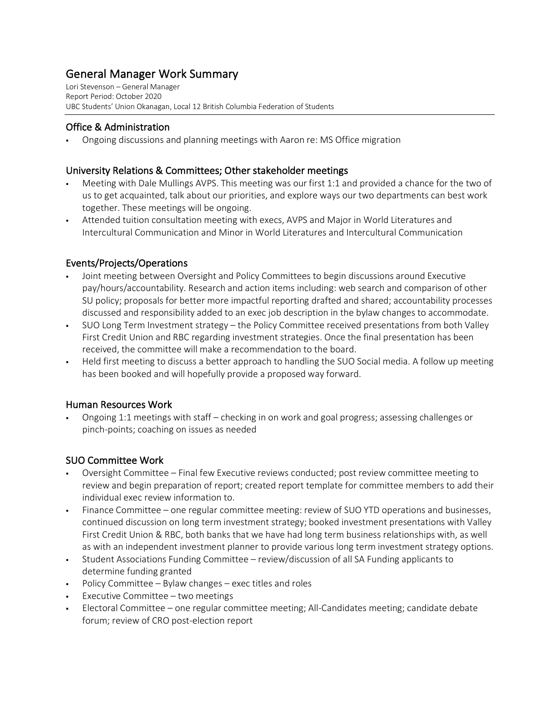# General Manager Work Summary<br>Lori Stevenson – General Manager

Report Period: October 2020 UBC Students' Union Okanagan, Local 12 British Columbia Federation of Students

#### Office & Administration

§ Ongoing discussions and planning meetings with Aaron re: MS Office migration

#### University Relations & Committees; Other stakeholder meetings

- § Meeting with Dale Mullings AVPS. This meeting was our first 1:1 and provided a chance for the two of us to get acquainted, talk about our priorities, and explore ways our two departments can best work together. These meetings will be ongoing.
- § Attended tuition consultation meeting with execs, AVPS and Major in World Literatures and Intercultural Communication and Minor in World Literatures and Intercultural Communication

#### Events/Projects/Operations

- Joint meeting between Oversight and Policy Committees to begin discussions around Executive pay/hours/accountability. Research and action items including: web search and comparison of other SU policy; proposals for better more impactful reporting drafted and shared; accountability processes discussed and responsibility added to an exec job description in the bylaw changes to accommodate.
- § SUO Long Term Investment strategy the Policy Committee received presentations from both Valley First Credit Union and RBC regarding investment strategies. Once the final presentation has been received, the committee will make a recommendation to the board.
- Held first meeting to discuss a better approach to handling the SUO Social media. A follow up meeting has been booked and will hopefully provide a proposed way forward.

#### Human Resources Work

§ Ongoing 1:1 meetings with staff – checking in on work and goal progress; assessing challenges or pinch-points; coaching on issues as needed

#### SUO Committee Work

- § Oversight Committee Final few Executive reviews conducted; post review committee meeting to review and begin preparation of report; created report template for committee members to add their individual exec review information to.
- § Finance Committee one regular committee meeting: review of SUO YTD operations and businesses, continued discussion on long term investment strategy; booked investment presentations with Valley First Credit Union & RBC, both banks that we have had long term business relationships with, as well as with an independent investment planner to provide various long term investment strategy options.
- § Student Associations Funding Committee review/discussion of all SA Funding applicants to determine funding granted
- Policy Committee Bylaw changes exec titles and roles
- $\blacksquare$  Executive Committee two meetings
- § Electoral Committee one regular committee meeting; All-Candidates meeting; candidate debate forum; review of CRO post-election report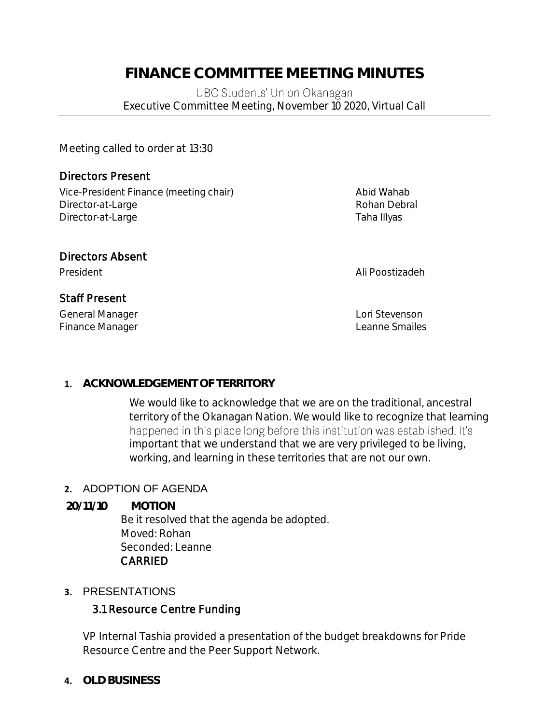## **FINANCE COMMITTEE MEETING MINUTES**

UBC Students' Union Okanagan Executive Committee Meeting, November 10 2020, Virtual Call

Meeting called to order at 13:30

## Directors Present

Vice-President Finance (meeting chair) Manus Abid Wahab Director-at-Large **Rohan Debral** Rohan Debral Director-at-Large Taha Illyas

## Directors Absent

## Staff Present

General Manager **Lori Stevenson** Finance Manager **Leanne** Smailes

President Ali Poostizadeh

## **1. ACKNOWLEDGEMENT OF TERRITORY**

We would like to acknowledge that we are on the traditional, ancestral territory of the Okanagan Nation. We would like to recognize that learning happened in this place long before this institution was established. It's important that we understand that we are very privileged to be living, working, and learning in these territories that are not our own.

## **2.** ADOPTION OF AGENDA

**20/11/10 MOTION**

Be it resolved that the agenda be adopted. Moved: Rohan Seconded: Leanne CARRIED

## **3.** PRESENTATIONS

## 3.1 Resource Centre Funding

VP Internal Tashia provided a presentation of the budget breakdowns for Pride Resource Centre and the Peer Support Network.

## **4. OLD BUSINESS**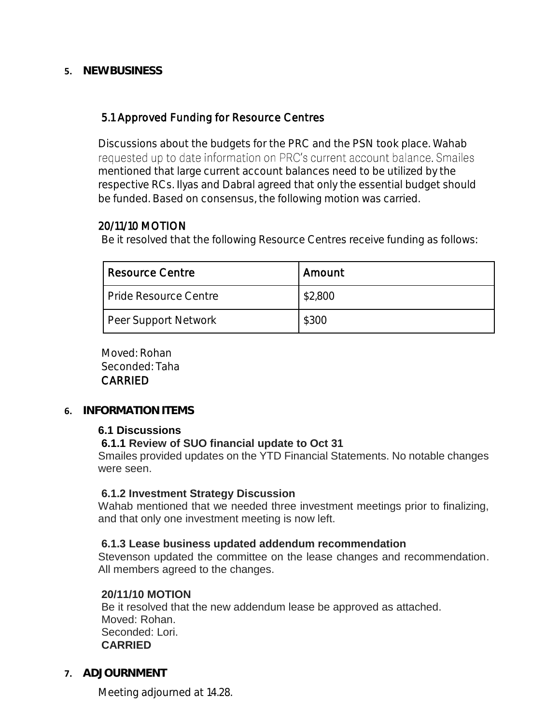#### **5. NEW BUSINESS**

#### 5.1 Approved Funding for Resource Centres

Discussions about the budgets for the PRC and the PSN took place. Wahab requested up to date information on PRC's current account balance. Smailes mentioned that large current account balances need to be utilized by the respective RCs. Ilyas and Dabral agreed that only the essential budget should be funded. Based on consensus, the following motion was carried.

#### 20/11/10 MOTION

Be it resolved that the following Resource Centres receive funding as follows:

| Resource Centre       | Amount  |
|-----------------------|---------|
| Pride Resource Centre | \$2,800 |
| Peer Support Network  | \$300   |

 Moved: Rohan Seconded: Taha CARRIED

#### **6. INFORMATION ITEMS**

#### **6.1 Discussions**

#### **6.1.1 Review of SUO financial update to Oct 31**

Smailes provided updates on the YTD Financial Statements. No notable changes were seen.

#### **6.1.2 Investment Strategy Discussion**

Wahab mentioned that we needed three investment meetings prior to finalizing, and that only one investment meeting is now left.

#### **6.1.3 Lease business updated addendum recommendation**

Stevenson updated the committee on the lease changes and recommendation. All members agreed to the changes.

#### **20/11/10 MOTION**

Be it resolved that the new addendum lease be approved as attached. Moved: Rohan. Seconded: Lori. **CARRIED**

**7. ADJOURNMENT**

Meeting adjourned at 14.28.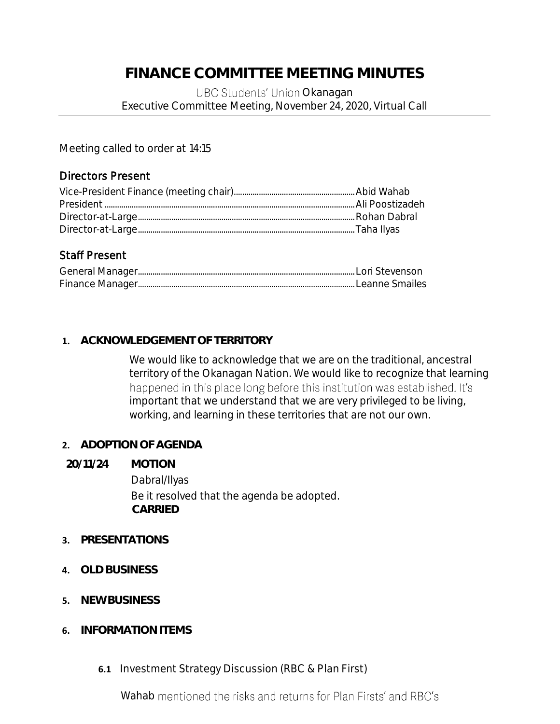## **FINANCE COMMITTEE MEETING MINUTES**

#### UBC Students' Union Okanagan Executive Committee Meeting, November 24, 2020, Virtual Call

Meeting called to order at 14:15

#### Directors Present

## Staff Present

#### **1. ACKNOWLEDGEMENT OF TERRITORY**

We would like to acknowledge that we are on the traditional, ancestral territory of the Okanagan Nation. We would like to recognize that learning happened in this place long before this institution was established. It's important that we understand that we are very privileged to be living, working, and learning in these territories that are not our own.

#### **2. ADOPTION OF AGENDA**

#### **20/11/24 MOTION**

Dabral/Ilyas Be it resolved that the agenda be adopted. **CARRIED**

#### **3. PRESENTATIONS**

- **4. OLD BUSINESS**
- **5. NEW BUSINESS**
- **6. INFORMATION ITEMS**
	- **6.1** Investment Strategy Discussion (RBC & Plan First)

Wahab mentioned the risks and returns for Plan Firsts' and RBC's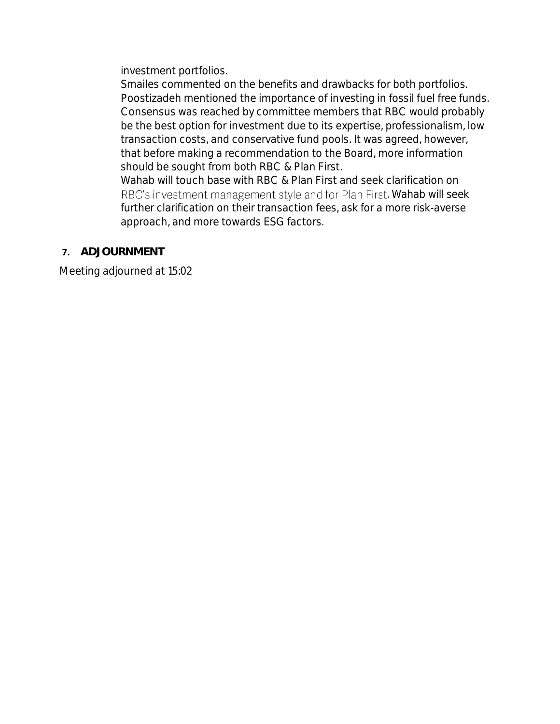investment portfolios.

Smailes commented on the benefits and drawbacks for both portfolios. Poostizadeh mentioned the importance of investing in fossil fuel free funds. Consensus was reached by committee members that RBC would probably be the best option for investment due to its expertise, professionalism, low transaction costs, and conservative fund pools. It was agreed, however, that before making a recommendation to the Board, more information should be sought from both RBC & Plan First.

Wahab will touch base with RBC & Plan First and seek clarification on RBC's investment management style and for Plan First. Wahab will seek further clarification on their transaction fees, ask for a more risk-averse approach, and more towards ESG factors.

#### **7. ADJOURNMENT**

Meeting adjourned at 15:02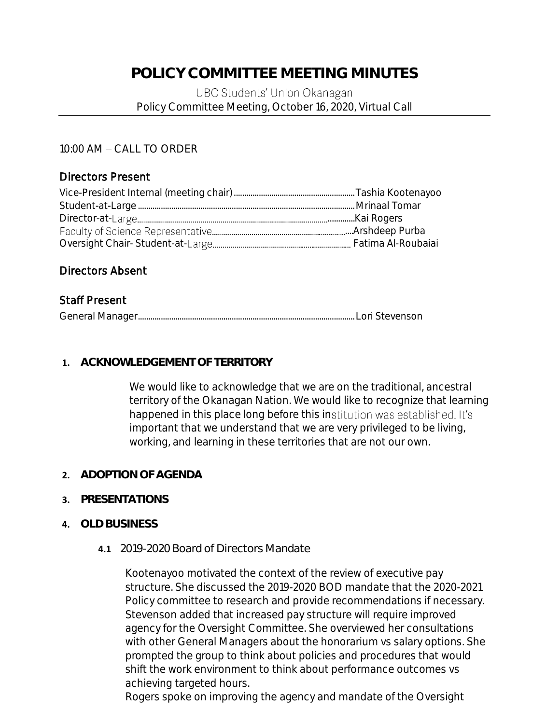## **POLICY COMMITTEE MEETING MINUTES**

#### UBC Students' Union Okanagan Policy Committee Meeting, October 16, 2020, Virtual Call

#### 10:00 AM - CALL TO ORDER

#### Directors Present

#### Directors Absent

#### Staff Present

#### **1. ACKNOWLEDGEMENT OF TERRITORY**

We would like to acknowledge that we are on the traditional, ancestral territory of the Okanagan Nation. We would like to recognize that learning happened in this place long before this institution was established. It's important that we understand that we are very privileged to be living, working, and learning in these territories that are not our own.

#### **2. ADOPTION OF AGENDA**

#### **3. PRESENTATIONS**

#### **4. OLD BUSINESS**

#### **4.1** 2019-2020 Board of Directors Mandate

Kootenayoo motivated the context of the review of executive pay structure. She discussed the 2019-2020 BOD mandate that the 2020-2021 Policy committee to research and provide recommendations if necessary. Stevenson added that increased pay structure will require improved agency for the Oversight Committee. She overviewed her consultations with other General Managers about the honorarium vs salary options. She prompted the group to think about policies and procedures that would shift the work environment to think about performance outcomes vs achieving targeted hours.

Rogers spoke on improving the agency and mandate of the Oversight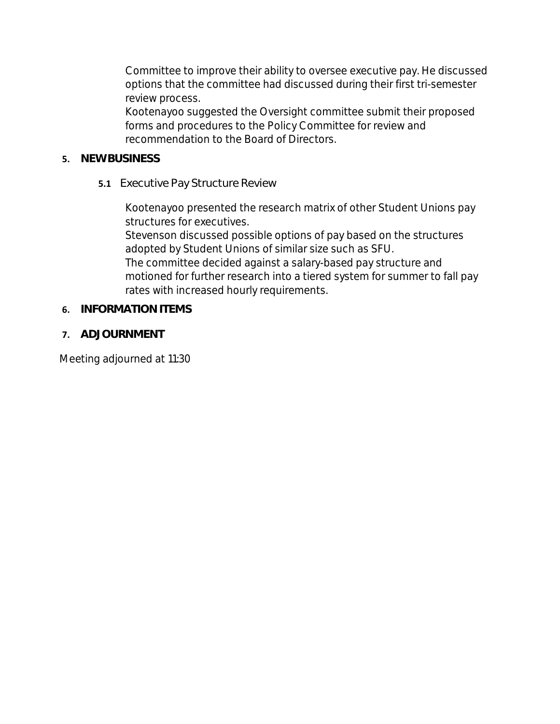Committee to improve their ability to oversee executive pay. He discussed options that the committee had discussed during their first tri-semester review process.

Kootenayoo suggested the Oversight committee submit their proposed forms and procedures to the Policy Committee for review and recommendation to the Board of Directors.

- **5. NEW BUSINESS**
	- **5.1** Executive Pay Structure Review

Kootenayoo presented the research matrix of other Student Unions pay structures for executives.

Stevenson discussed possible options of pay based on the structures adopted by Student Unions of similar size such as SFU.

The committee decided against a salary-based pay structure and motioned for further research into a tiered system for summer to fall pay rates with increased hourly requirements.

- **6. INFORMATION ITEMS**
- **7. ADJOURNMENT**

Meeting adjourned at 11:30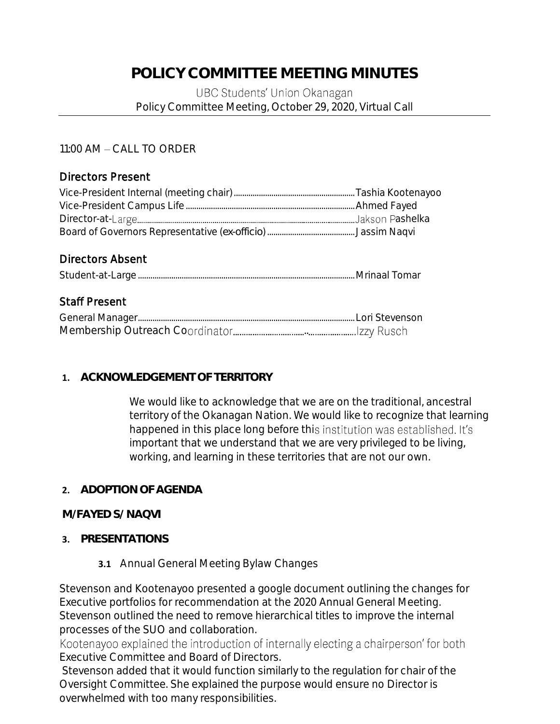## **POLICY COMMITTEE MEETING MINUTES**

#### UBC Students' Union Okanagan Policy Committee Meeting, October 29, 2020, Virtual Call

## 11:00 AM - CALL TO ORDER

#### Directors Present

#### Directors Absent

|--|--|

## Staff Present

#### **1. ACKNOWLEDGEMENT OF TERRITORY**

We would like to acknowledge that we are on the traditional, ancestral territory of the Okanagan Nation. We would like to recognize that learning happened in this place long before this institution was established. It's important that we understand that we are very privileged to be living, working, and learning in these territories that are not our own.

#### **2. ADOPTION OF AGENDA**

#### **M/FAYED S/ NAQVI**

#### **3. PRESENTATIONS**

**3.1** Annual General Meeting Bylaw Changes

Stevenson and Kootenayoo presented a google document outlining the changes for Executive portfolios for recommendation at the 2020 Annual General Meeting. Stevenson outlined the need to remove hierarchical titles to improve the internal processes of the SUO and collaboration.

Kootenayoo explained the introduction of internally electing a chairperson' for both Executive Committee and Board of Directors.

Stevenson added that it would function similarly to the regulation for chair of the Oversight Committee. She explained the purpose would ensure no Director is overwhelmed with too many responsibilities.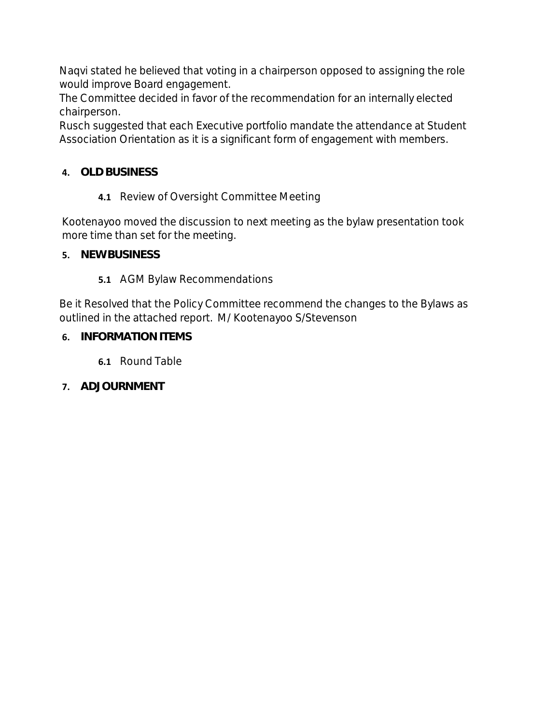Naqvi stated he believed that voting in a chairperson opposed to assigning the role would improve Board engagement.

The Committee decided in favor of the recommendation for an internally elected chairperson.

Rusch suggested that each Executive portfolio mandate the attendance at Student Association Orientation as it is a significant form of engagement with members.

## **4. OLD BUSINESS**

**4.1** Review of Oversight Committee Meeting

Kootenayoo moved the discussion to next meeting as the bylaw presentation took more time than set for the meeting.

- **5. NEW BUSINESS**
	- **5.1** AGM Bylaw Recommendations

Be it Resolved that the Policy Committee recommend the changes to the Bylaws as outlined in the attached report. M/ Kootenayoo S/Stevenson

- **6. INFORMATION ITEMS**
	- **6.1** Round Table
- **7. ADJOURNMENT**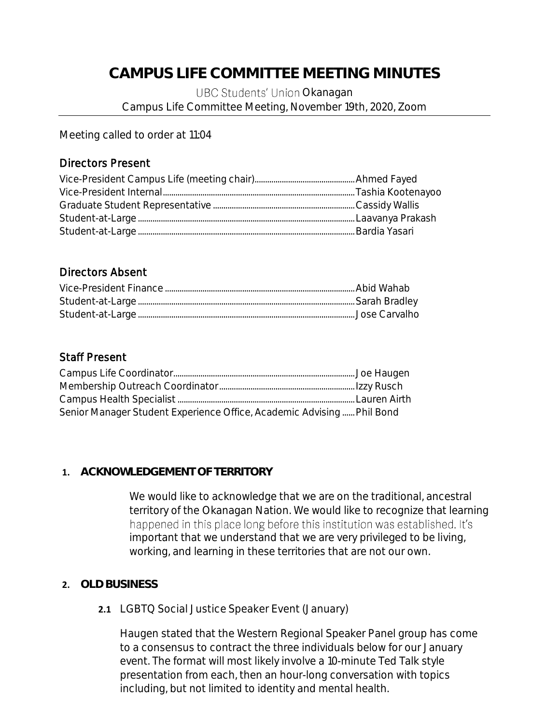## **CAMPUS LIFE COMMITTEE MEETING MINUTES**

UBC Students' Union Okanagan Campus Life Committee Meeting, November 19th, 2020, Zoom

Meeting called to order at 11:04

#### Directors Present

#### Directors Absent

## Staff Present

| Senior Manager Student Experience Office, Academic Advising Phil Bond |  |
|-----------------------------------------------------------------------|--|
|                                                                       |  |

#### **1. ACKNOWLEDGEMENT OF TERRITORY**

We would like to acknowledge that we are on the traditional, ancestral territory of the Okanagan Nation. We would like to recognize that learning happened in this place long before this institution was established. It's important that we understand that we are very privileged to be living, working, and learning in these territories that are not our own.

## **2. OLD BUSINESS**

#### **2.1** LGBTQ Social Justice Speaker Event (January)

Haugen stated that the Western Regional Speaker Panel group has come to a consensus to contract the three individuals below for our January event. The format will most likely involve a 10-minute Ted Talk style presentation from each, then an hour-long conversation with topics including, but not limited to identity and mental health.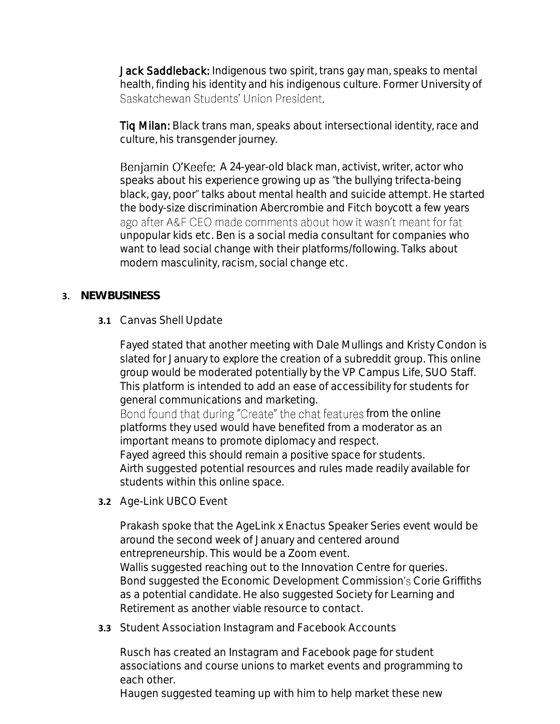Jack Saddleback: Indigenous two spirit, trans gay man, speaks to mental health, finding his identity and his indigenous culture. Former University of Saskatchewan Students' Union President.

Tiq Milan: Black trans man, speaks about intersectional identity, race and culture, his transgender journey.

Benjamin O'Keefe: A 24-year-old black man, activist, writer, actor who speaks about his experience growing up as "the bullying trifecta-being black, gay, poor" talks about mental health and suicide attempt. He started the body-size discrimination Abercrombie and Fitch boycott a few years ago after A&F CEO made comments about how it wasn't meant for fat unpopular kids etc. Ben is a social media consultant for companies who want to lead social change with their platforms/following. Talks about modern masculinity, racism, social change etc.

#### **3. NEW BUSINESS**

**3.1** Canvas Shell Update

Fayed stated that another meeting with Dale Mullings and Kristy Condon is slated for January to explore the creation of a subreddit group. This online group would be moderated potentially by the VP Campus Life, SUO Staff. This platform is intended to add an ease of accessibility for students for general communications and marketing.

Bond found that during "Create" the chat features from the online platforms they used would have benefited from a moderator as an important means to promote diplomacy and respect.

Fayed agreed this should remain a positive space for students. Airth suggested potential resources and rules made readily available for students within this online space.

**3.2** Age-Link UBCO Event

Prakash spoke that the AgeLink x Enactus Speaker Series event would be around the second week of January and centered around entrepreneurship. This would be a Zoom event. Wallis suggested reaching out to the Innovation Centre for queries. Bond suggested the Economic Development Commission's Corie Griffiths as a potential candidate. He also suggested Society for Learning and Retirement as another viable resource to contact.

**3.3** Student Association Instagram and Facebook Accounts

Rusch has created an Instagram and Facebook page for student associations and course unions to market events and programming to each other.

Haugen suggested teaming up with him to help market these new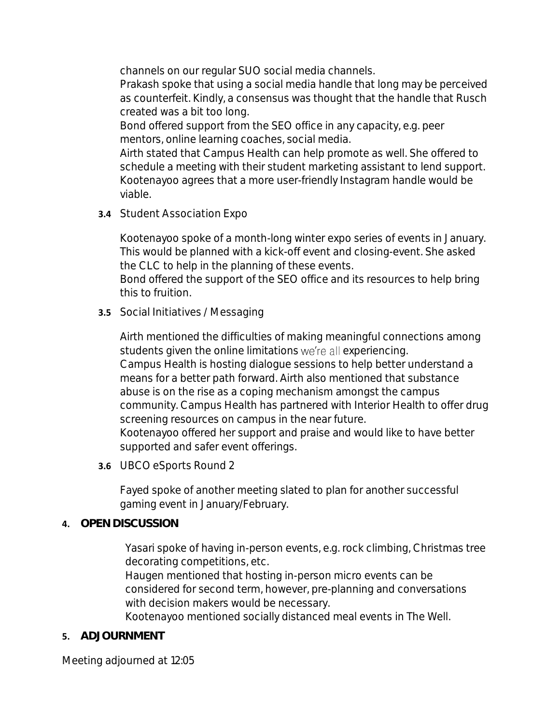channels on our regular SUO social media channels.

Prakash spoke that using a social media handle that long may be perceived as counterfeit. Kindly, a consensus was thought that the handle that Rusch created was a bit too long.

Bond offered support from the SEO office in any capacity, e.g. peer mentors, online learning coaches, social media.

Airth stated that Campus Health can help promote as well. She offered to schedule a meeting with their student marketing assistant to lend support. Kootenayoo agrees that a more user-friendly Instagram handle would be viable.

**3.4** Student Association Expo

Kootenayoo spoke of a month-long winter expo series of events in January. This would be planned with a kick-off event and closing-event. She asked the CLC to help in the planning of these events.

Bond offered the support of the SEO office and its resources to help bring this to fruition.

**3.5** Social Initiatives / Messaging

Airth mentioned the difficulties of making meaningful connections among students given the online limitations we're all experiencing. Campus Health is hosting dialogue sessions to help better understand a means for a better path forward. Airth also mentioned that substance abuse is on the rise as a coping mechanism amongst the campus community. Campus Health has partnered with Interior Health to offer drug screening resources on campus in the near future. Kootenayoo offered her support and praise and would like to have better supported and safer event offerings.

**3.6** UBCO eSports Round 2

Fayed spoke of another meeting slated to plan for another successful gaming event in January/February.

#### **4. OPEN DISCUSSION**

Yasari spoke of having in-person events, e.g. rock climbing, Christmas tree decorating competitions, etc.

Haugen mentioned that hosting in-person micro events can be considered for second term, however, pre-planning and conversations with decision makers would be necessary.

Kootenayoo mentioned socially distanced meal events in The Well.

## **5. ADJOURNMENT**

Meeting adjourned at 12:05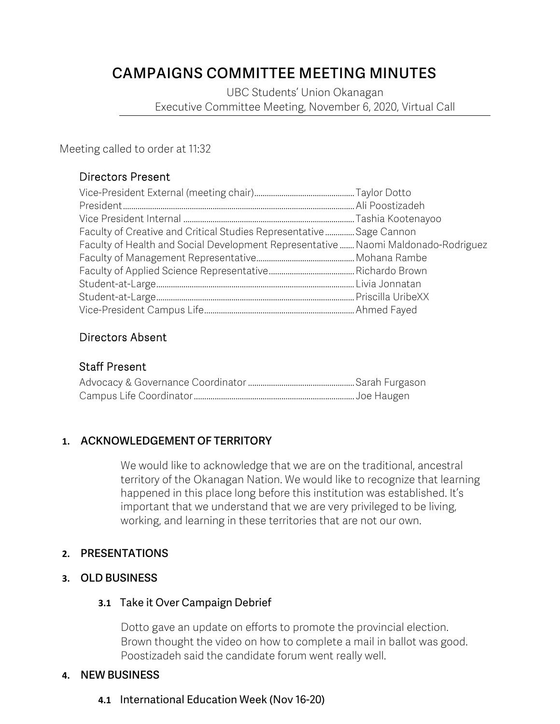## **CAMPAIGNS COMMITTEE MEETING MINUTES**

UBC Students' Union Okanagan Executive Committee Meeting, November 6, 2020, Virtual Call

Meeting called to order at 11:32

## Directors Present

| Faculty of Creative and Critical Studies Representative Sage Cannon                |  |
|------------------------------------------------------------------------------------|--|
| Faculty of Health and Social Development Representative  Naomi Maldonado-Rodriguez |  |
|                                                                                    |  |
|                                                                                    |  |
|                                                                                    |  |
|                                                                                    |  |
|                                                                                    |  |

## Directors Absent

#### Staff Present

## **1. ACKNOWLEDGEMENT OF TERRITORY**

We would like to acknowledge that we are on the traditional, ancestral territory of the Okanagan Nation. We would like to recognize that learning happened in this place long before this institution was established. It's important that we understand that we are very privileged to be living, working, and learning in these territories that are not our own.

#### **2. PRESENTATIONS**

## **3. OLD BUSINESS**

#### **3.1** Take it Over Campaign Debrief

Dotto gave an update on efforts to promote the provincial election. Brown thought the video on how to complete a mail in ballot was good. Poostizadeh said the candidate forum went really well.

#### **4. NEW BUSINESS**

**4.1** International Education Week (Nov 16-20)